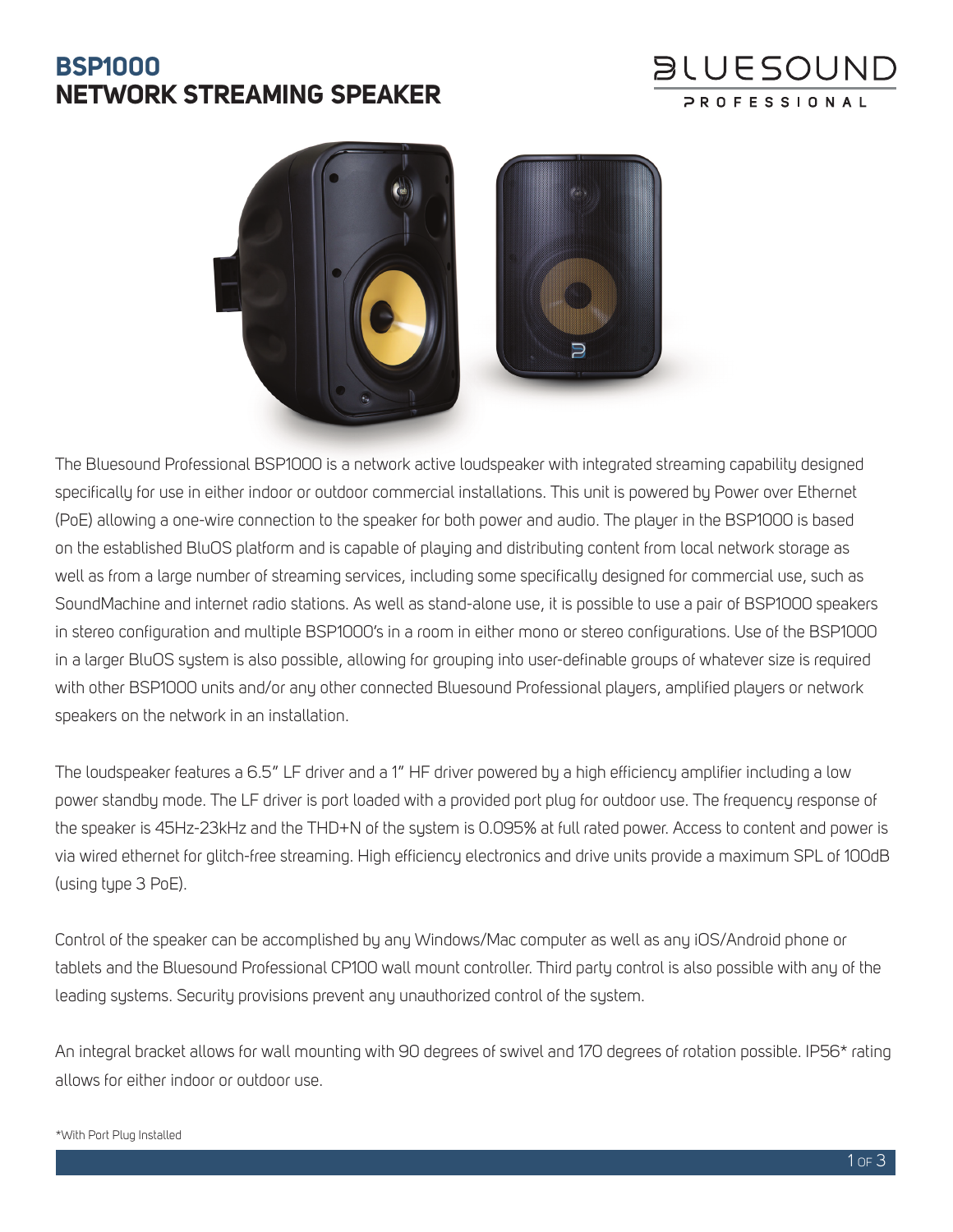# **BSP1000 NETWORK STREAMING SPEAKER**





The Bluesound Professional BSP1000 is a network active loudspeaker with integrated streaming capability designed specifically for use in either indoor or outdoor commercial installations. This unit is powered by Power over Ethernet (PoE) allowing a one-wire connection to the speaker for both power and audio. The player in the BSP1000 is based on the established BluOS platform and is capable of playing and distributing content from local network storage as well as from a large number of streaming services, including some specifically designed for commercial use, such as SoundMachine and internet radio stations. As well as stand-alone use, it is possible to use a pair of BSP1000 speakers in stereo configuration and multiple BSP1000's in a room in either mono or stereo configurations. Use of the BSP1000 in a larger BluOS system is also possible, allowing for grouping into user-definable groups of whatever size is required with other BSP1000 units and/or any other connected Bluesound Professional players, amplified players or network speakers on the network in an installation.

The loudspeaker features a 6.5" LF driver and a 1" HF driver powered by a high efficiency amplifier including a low power standby mode. The LF driver is port loaded with a provided port plug for outdoor use. The frequency response of the speaker is 45Hz-23kHz and the THD+N of the system is 0.095% at full rated power. Access to content and power is via wired ethernet for glitch-free streaming. High efficiency electronics and drive units provide a maximum SPL of 100dB (using type 3 PoE).

Control of the speaker can be accomplished by any Windows/Mac computer as well as any iOS/Android phone or tablets and the Bluesound Professional CP100 wall mount controller. Third party control is also possible with any of the leading systems. Security provisions prevent any unauthorized control of the system.

An integral bracket allows for wall mounting with 90 degrees of swivel and 170 degrees of rotation possible. IP56\* rating allows for either indoor or outdoor use.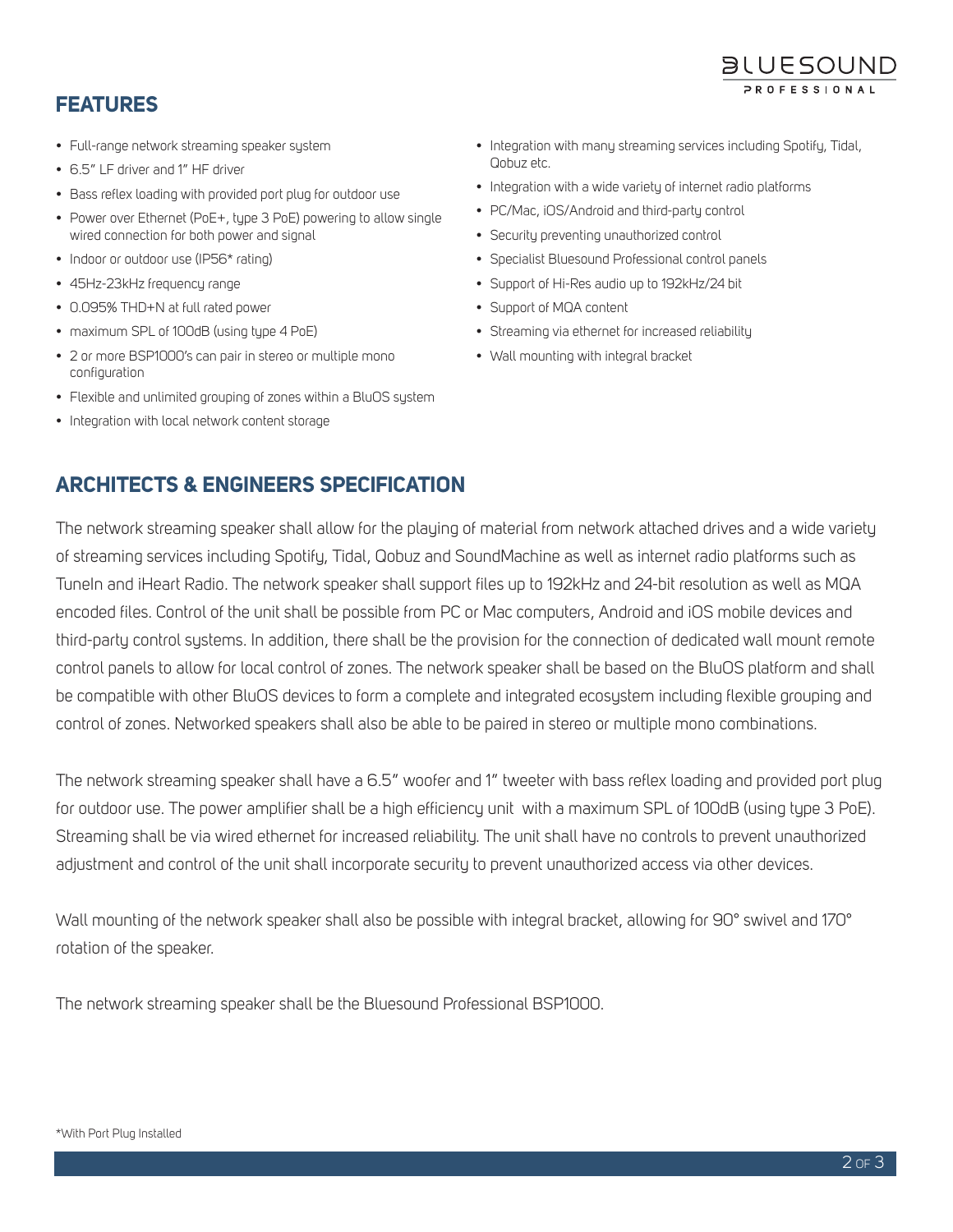#### **FEATURES**

- Full-range network streaming speaker system
- 6.5" LF driver and 1" HF driver
- Bass reflex loading with provided port plug for outdoor use
- Power over Ethernet (PoE+, tupe 3 PoE) powering to allow single wired connection for both power and signal
- Indoor or outdoor use (IP56\* rating)
- 45Hz-23kHz frequency range
- 0.095% THD+N at full rated power
- maximum SPL of 100dB (using type 4 PoE)
- 2 or more BSP1000's can pair in stereo or multiple mono configuration
- Flexible and unlimited grouping of zones within a BluOS system
- Integration with local network content storage

• Integration with many streaming services including Spotify, Tidal, Qobuz etc.

**BLUESOUND** 

- Integration with a wide variety of internet radio platforms
- PC/Mac, iOS/Android and third-party control
- Security preventing unauthorized control
- Specialist Bluesound Professional control panels
- Support of Hi-Res audio up to 192kHz/24 bit
- Support of MQA content
- Streaming via ethernet for increased reliability
- Wall mounting with integral bracket

### **ARCHITECTS & ENGINEERS SPECIFICATION**

The network streaming speaker shall allow for the playing of material from network attached drives and a wide variety of streaming services including Spotify, Tidal, Qobuz and SoundMachine as well as internet radio platforms such as TuneIn and iHeart Radio. The network speaker shall support files up to 192kHz and 24-bit resolution as well as MQA encoded files. Control of the unit shall be possible from PC or Mac computers, Android and iOS mobile devices and third-party control systems. In addition, there shall be the provision for the connection of dedicated wall mount remote control panels to allow for local control of zones. The network speaker shall be based on the BluOS platform and shall be compatible with other BluOS devices to form a complete and integrated ecosystem including flexible grouping and control of zones. Networked speakers shall also be able to be paired in stereo or multiple mono combinations.

The network streaming speaker shall have a 6.5" woofer and 1" tweeter with bass reflex loading and provided port plug for outdoor use. The power amplifier shall be a high efficiency unit with a maximum SPL of 100dB (using type 3 PoE). Streaming shall be via wired ethernet for increased reliability. The unit shall have no controls to prevent unauthorized adjustment and control of the unit shall incorporate security to prevent unauthorized access via other devices.

Wall mounting of the network speaker shall also be possible with integral bracket, allowing for 90° swivel and 170° rotation of the speaker.

The network streaming speaker shall be the Bluesound Professional BSP1000.